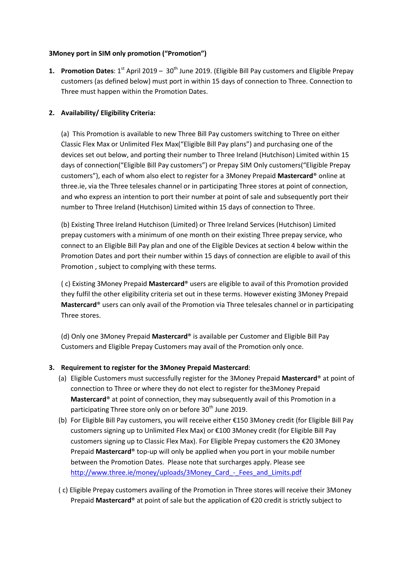## **3Money port in SIM only promotion ("Promotion")**

**1. Promotion Dates**: 1<sup>st</sup> April 2019 – 30<sup>th</sup> June 2019. (Eligible Bill Pay customers and Eligible Prepay customers (as defined below) must port in within 15 days of connection to Three. Connection to Three must happen within the Promotion Dates.

# **2. Availability/ Eligibility Criteria:**

(a) This Promotion is available to new Three Bill Pay customers switching to Three on either Classic Flex Max or Unlimited Flex Max("Eligible Bill Pay plans") and purchasing one of the devices set out below, and porting their number to Three Ireland (Hutchison) Limited within 15 days of connection("Eligible Bill Pay customers") or Prepay SIM Only customers("Eligible Prepay customers"), each of whom also elect to register for a 3Money Prepaid **Mastercard**® online at three.ie, via the Three telesales channel or in participating Three stores at point of connection, and who express an intention to port their number at point of sale and subsequently port their number to Three Ireland (Hutchison) Limited within 15 days of connection to Three.

(b) Existing Three Ireland Hutchison (Limited) or Three Ireland Services (Hutchison) Limited prepay customers with a minimum of one month on their existing Three prepay service, who connect to an Eligible Bill Pay plan and one of the Eligible Devices at section 4 below within the Promotion Dates and port their number within 15 days of connection are eligible to avail of this Promotion , subject to complying with these terms.

( c) Existing 3Money Prepaid **Mastercard**® users are eligible to avail of this Promotion provided they fulfil the other eligibility criteria set out in these terms. However existing 3Money Prepaid **Mastercard**® users can only avail of the Promotion via Three telesales channel or in participating Three stores.

(d) Only one 3Money Prepaid **Mastercard**® is available per Customer and Eligible Bill Pay Customers and Eligible Prepay Customers may avail of the Promotion only once.

## **3. Requirement to register for the 3Money Prepaid Mastercard**:

- (a) Eligible Customers must successfully register for the 3Money Prepaid **Mastercard**® at point of connection to Three or where they do not elect to register for the3Money Prepaid **Mastercard**® at point of connection, they may subsequently avail of this Promotion in a participating Three store only on or before 30<sup>th</sup> June 2019.
- (b) For Eligible Bill Pay customers, you will receive either €150 3Money credit (for Eligible Bill Pay customers signing up to Unlimited Flex Max) or €100 3Money credit (for Eligible Bill Pay customers signing up to Classic Flex Max). For Eligible Prepay customers the €20 3Money Prepaid **Mastercard**® top-up will only be applied when you port in your mobile number between the Promotion Dates. Please note that surcharges apply. Please see http://www.three.ie/money/uploads/3Money\_Card - Fees\_and\_Limits.pdf
- ( c) Eligible Prepay customers availing of the Promotion in Three stores will receive their 3Money Prepaid **Mastercard**® at point of sale but the application of €20 credit is strictly subject to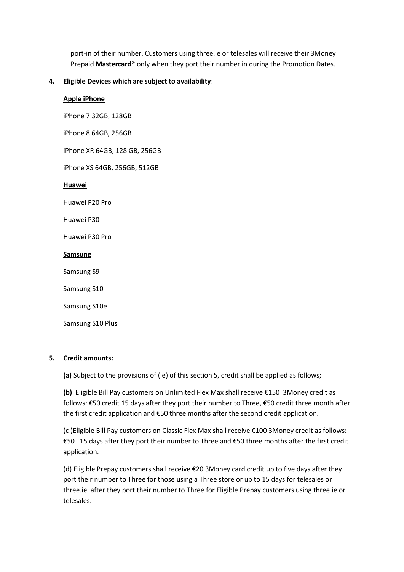port-in of their number. Customers using three.ie or telesales will receive their 3Money Prepaid **Mastercard**® only when they port their number in during the Promotion Dates.

### **4. Eligible Devices which are subject to availability**:

### **Apple iPhone**

iPhone 7 32GB, 128GB

iPhone 8 64GB, 256GB

iPhone XR 64GB, 128 GB, 256GB

iPhone XS 64GB, 256GB, 512GB

### **Huawei**

Huawei P20 Pro

Huawei P30

Huawei P30 Pro

#### **Samsung**

Samsung S9

Samsung S10

Samsung S10e

Samsung S10 Plus

### **5. Credit amounts:**

**(a)** Subject to the provisions of ( e) of this section 5, credit shall be applied as follows;

**(b)** Eligible Bill Pay customers on Unlimited Flex Max shall receive €150 3Money credit as follows: €50 credit 15 days after they port their number to Three, €50 credit three month after the first credit application and €50 three months after the second credit application.

(c )Eligible Bill Pay customers on Classic Flex Max shall receive €100 3Money credit as follows: €50 15 days after they port their number to Three and €50 three months after the first credit application.

(d) Eligible Prepay customers shall receive €20 3Money card credit up to five days after they port their number to Three for those using a Three store or up to 15 days for telesales or three.ie after they port their number to Three for Eligible Prepay customers using three.ie or telesales.